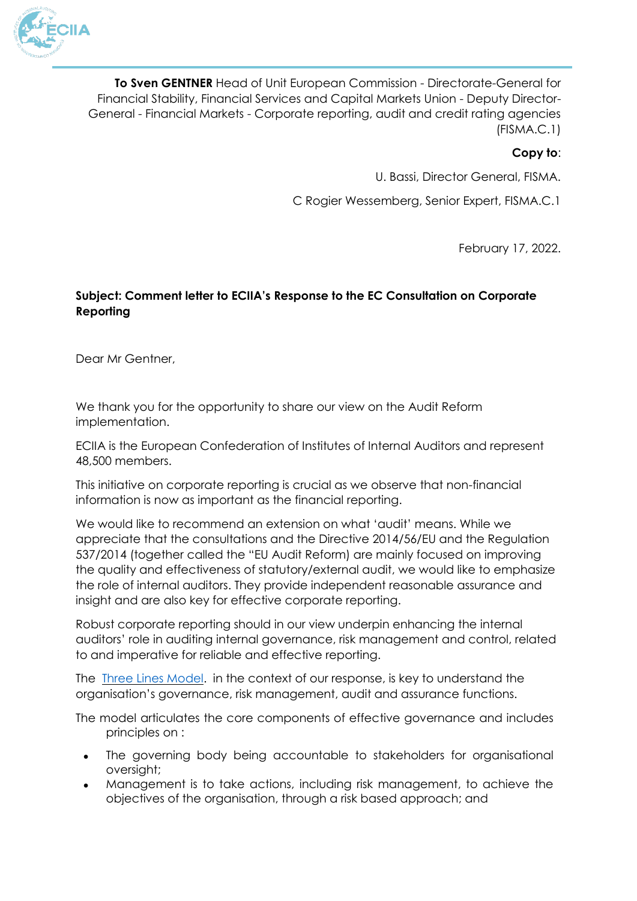

**To Sven GENTNER** Head of Unit European Commission - Directorate-General for Financial Stability, Financial Services and Capital Markets Union - Deputy Director-General - Financial Markets - Corporate reporting, audit and credit rating agencies (FISMA.C.1)

## **Copy to**:

U. Bassi, Director General, FISMA.

C Rogier Wessemberg, Senior Expert, FISMA.C.1

February 17, 2022.

# **Subject: Comment letter to ECIIA's Response to the EC Consultation on Corporate Reporting**

Dear Mr Gentner,

We thank you for the opportunity to share our view on the Audit Reform implementation.

ECIIA is the European Confederation of Institutes of Internal Auditors and represent 48,500 members.

This initiative on corporate reporting is crucial as we observe that non-financial information is now as important as the financial reporting.

We would like to recommend an extension on what 'audit' means. While we appreciate that the consultations and the Directive 2014/56/EU and the Regulation 537/2014 (together called the "EU Audit Reform) are mainly focused on improving the quality and effectiveness of statutory/external audit, we would like to emphasize the role of internal auditors. They provide independent reasonable assurance and insight and are also key for effective corporate reporting.

Robust corporate reporting should in our view underpin enhancing the internal auditors' role in auditing internal governance, risk management and control, related to and imperative for reliable and effective reporting.

The [Three Lines Model.](https://na.theiia.org/about-ia/PublicDocuments/Three-Lines-Model-Updated.pdf) in the context of our response, is key to understand the organisation's governance, risk management, audit and assurance functions.

The model articulates the core components of effective governance and includes principles on :

- The governing body being accountable to stakeholders for organisational oversight;
- Management is to take actions, including risk management, to achieve the objectives of the organisation, through a risk based approach; and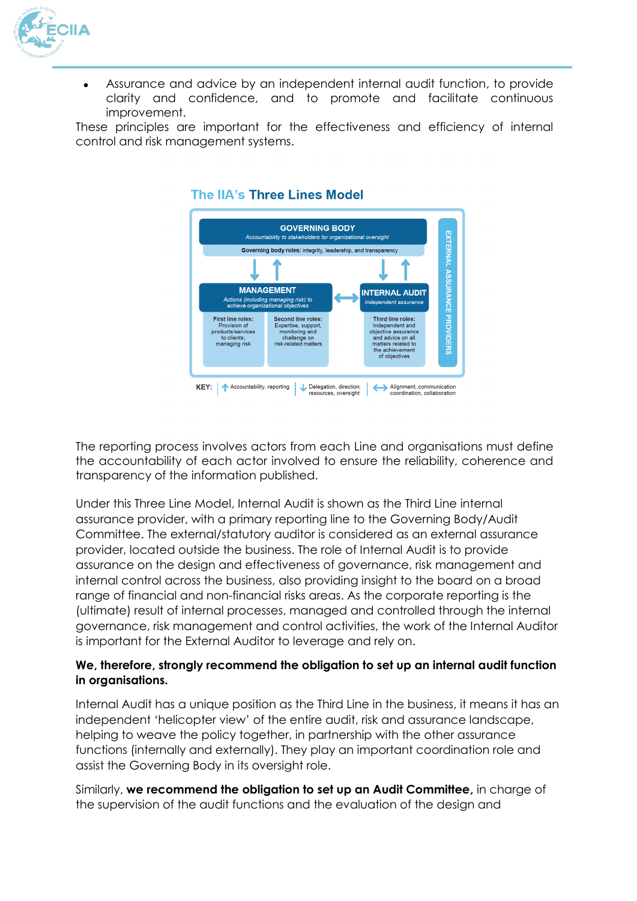

 Assurance and advice by an independent internal audit function, to provide clarity and confidence, and to promote and facilitate continuous improvement.

These principles are important for the effectiveness and efficiency of internal control and risk management systems.



#### The IIA's Three Lines Model

The reporting process involves actors from each Line and organisations must define the accountability of each actor involved to ensure the reliability, coherence and transparency of the information published.

Under this Three Line Model, Internal Audit is shown as the Third Line internal assurance provider, with a primary reporting line to the Governing Body/Audit Committee. The external/statutory auditor is considered as an external assurance provider, located outside the business. The role of Internal Audit is to provide assurance on the design and effectiveness of governance, risk management and internal control across the business, also providing insight to the board on a broad range of financial and non-financial risks areas. As the corporate reporting is the (ultimate) result of internal processes, managed and controlled through the internal governance, risk management and control activities, the work of the Internal Auditor is important for the External Auditor to leverage and rely on.

## **We, therefore, strongly recommend the obligation to set up an internal audit function in organisations.**

Internal Audit has a unique position as the Third Line in the business, it means it has an independent 'helicopter view' of the entire audit, risk and assurance landscape, helping to weave the policy together, in partnership with the other assurance functions (internally and externally). They play an important coordination role and assist the Governing Body in its oversight role.

Similarly, **we recommend the obligation to set up an Audit Committee,** in charge of the supervision of the audit functions and the evaluation of the design and